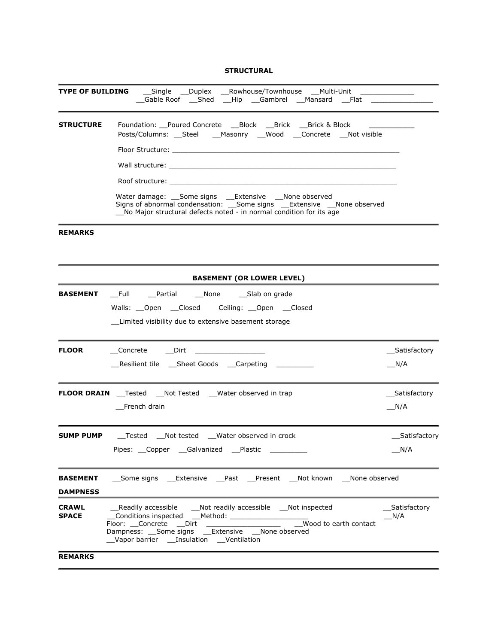#### **STRUCTURAL**

| <b>TYPE OF BUILDING</b>      |  | __Single __Duplex __Rowhouse/Townhouse __Multi-Unit _______<br>_Gable Roof ___Shed ___Hip ___Gambrel ___Mansard ___Flat _________________                                                                                                           |  |  |                                  |  |                       |     |                |
|------------------------------|--|-----------------------------------------------------------------------------------------------------------------------------------------------------------------------------------------------------------------------------------------------------|--|--|----------------------------------|--|-----------------------|-----|----------------|
| <b>STRUCTURE</b>             |  | Foundation: Poured Concrete ___ Block ___ Brick ___ Brick & Block<br>Posts/Columns: __Steel ___Masonry ___Wood ___Concrete ___Not visible                                                                                                           |  |  |                                  |  |                       |     |                |
|                              |  | Floor Structure: will be a structure of the structure of the structure of the structure of the structure of the                                                                                                                                     |  |  |                                  |  |                       |     |                |
|                              |  |                                                                                                                                                                                                                                                     |  |  |                                  |  |                       |     |                |
|                              |  |                                                                                                                                                                                                                                                     |  |  |                                  |  |                       |     |                |
|                              |  | Water damage: Some signs Extensive None observed<br>Signs of abnormal condensation: Some signs Extensive None observed<br>No Major structural defects noted - in normal condition for its age                                                       |  |  |                                  |  |                       |     |                |
| <b>REMARKS</b>               |  |                                                                                                                                                                                                                                                     |  |  |                                  |  |                       |     |                |
|                              |  |                                                                                                                                                                                                                                                     |  |  | <b>BASEMENT (OR LOWER LEVEL)</b> |  |                       |     |                |
| <b>BASEMENT</b>              |  | __Full __Partial ___None ____Slab on grade<br>_Limited visibility due to extensive basement storage                                                                                                                                                 |  |  |                                  |  |                       |     |                |
| <b>FLOOR</b>                 |  | Concrete Dirt Dirt                                                                                                                                                                                                                                  |  |  |                                  |  |                       |     | __Satisfactory |
|                              |  | __Resilient tile ___Sheet Goods ___Carpeting _________                                                                                                                                                                                              |  |  |                                  |  |                       | N/A |                |
|                              |  | <b>FLOOR DRAIN</b> __ Tested __ Not Tested __ Water observed in trap                                                                                                                                                                                |  |  |                                  |  |                       |     | Satisfactory   |
|                              |  | French drain                                                                                                                                                                                                                                        |  |  |                                  |  |                       | N/A |                |
|                              |  | <b>SUMP PUMP</b> ___ Tested ___ Not tested ___ Water observed in crock                                                                                                                                                                              |  |  |                                  |  |                       |     | Satisfactory   |
|                              |  | Pipes: Copper Galvanized Plastic                                                                                                                                                                                                                    |  |  |                                  |  |                       |     | N/A            |
|                              |  | <b>BASEMENT</b> ___ Some signs _____ Extensive _______Past _____Present ____Not known ____None observed                                                                                                                                             |  |  |                                  |  |                       |     |                |
| <b>DAMPNESS</b>              |  |                                                                                                                                                                                                                                                     |  |  |                                  |  |                       |     |                |
| <b>CRAWL</b><br><b>SPACE</b> |  | __Readily accessible ____Not readily accessible ___Not inspected<br>Conditions inspected ___Method: ___________________<br>Floor: Concrete Dirt<br>Dampness: Some signs __Extensive __None observed<br>__Vapor barrier ___Insulation ___Ventilation |  |  |                                  |  | Wood to earth contact | N/A | Satisfactory   |
| <b>REMARKS</b>               |  |                                                                                                                                                                                                                                                     |  |  |                                  |  |                       |     |                |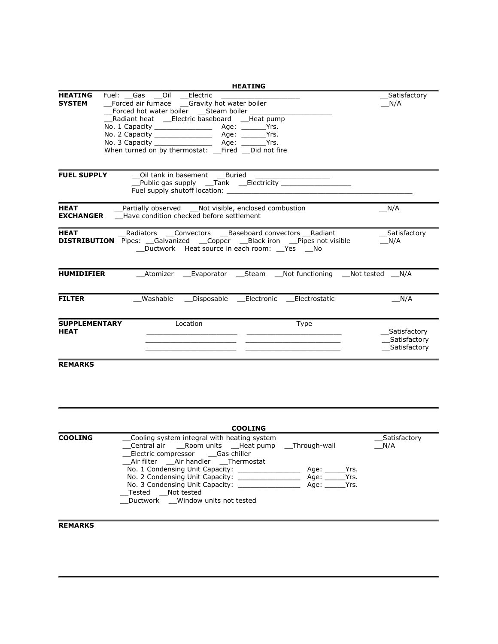| <b>HEATING</b><br><b>SYSTEM</b>     | Fuel: Gas __Oil __Electric<br>Forced air furnace ___Gravity hot water boiler<br>Radiant heat ___Electric baseboard ___Heat pump<br>When turned on by thermostat: Fired Did not fire |                                                                                                                              | Satisfactory<br>N/A                           |
|-------------------------------------|-------------------------------------------------------------------------------------------------------------------------------------------------------------------------------------|------------------------------------------------------------------------------------------------------------------------------|-----------------------------------------------|
| <b>FUEL SUPPLY</b>                  | __Oil tank in basement ___Buried                                                                                                                                                    | Public gas supply ___Tank ___Electricity ____________________                                                                |                                               |
| <b>HEAT</b><br><b>EXCHANGER</b>     | Have condition checked before settlement                                                                                                                                            | _Partially observed __Not visible, enclosed combustion                                                                       | N/A                                           |
|                                     |                                                                                                                                                                                     | <b>DISTRIBUTION</b> Pipes: Galvanized Copper Black iron Pipes not visible<br>__Ductwork Heat source in each room: __Yes __No | Satisfactory<br>N/A                           |
| <b>HUMIDIFIER</b>                   |                                                                                                                                                                                     | ___Atomizer ____Evaporator _____Steam ____Not functioning ____Not tested ____N/A                                             |                                               |
| <b>FILTER</b>                       |                                                                                                                                                                                     | Washable Disposable Electronic Electrostatic                                                                                 | N/A                                           |
| <b>SUPPLEMENTARY</b><br><b>HEAT</b> | Location                                                                                                                                                                            | Type                                                                                                                         | Satisfactory<br>Satisfactory<br>_Satisfactory |
| <b>REMARKS</b>                      |                                                                                                                                                                                     |                                                                                                                              |                                               |

|                | <b>COOLING</b>                                                                                                                                                                                            |                                                 |                     |
|----------------|-----------------------------------------------------------------------------------------------------------------------------------------------------------------------------------------------------------|-------------------------------------------------|---------------------|
| <b>COOLING</b> | Cooling system integral with heating system<br>Central air Room units Heat pump<br>__Electric compressor _____Gas chiller                                                                                 | Through-wall                                    | Satisfactory<br>N/A |
|                | Air filter air handler Thermostat<br>No. 1 Condensing Unit Capacity:<br>No. 2 Condensing Unit Capacity:<br>No. 3 Condensing Unit Capacity: _____<br>Tested Not tested<br>Ductwork Window units not tested | Age:<br>Yrs.<br>Age: and a<br>Yrs.<br>Age: Yrs. |                     |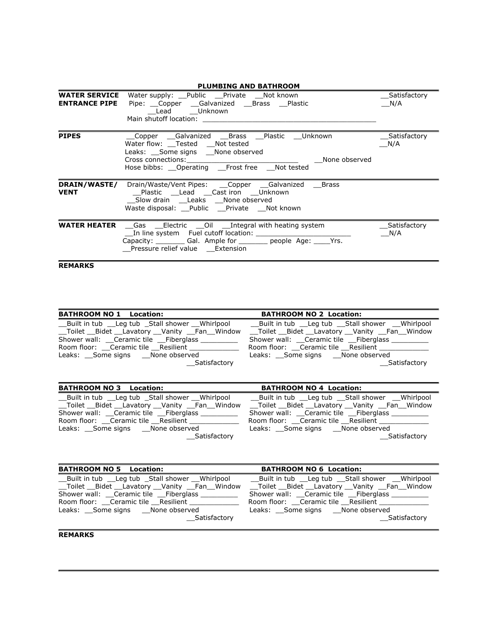| <b>PLUMBING AND BATHROOM</b>                 |                                                                                                                                                                                                                                                                                                                                                                                                                        |                     |  |  |
|----------------------------------------------|------------------------------------------------------------------------------------------------------------------------------------------------------------------------------------------------------------------------------------------------------------------------------------------------------------------------------------------------------------------------------------------------------------------------|---------------------|--|--|
| <b>WATER SERVICE</b><br><b>ENTRANCE PIPE</b> | Water supply: Public Private Not known<br>Pipe: Copper Galvanized Brass Plastic<br>Lead Unknown<br>Main shutoff location: Nain Shutoff Location                                                                                                                                                                                                                                                                        | Satisfactory<br>N/A |  |  |
| <b>PIPES</b>                                 | Copper Galvanized Brass Plastic Unknown<br>Water flow: __Tested ___Not tested<br>Leaks: __Some signs __None observed<br>Cross connections: The contract of the contract of the contract of the contract of the contract of the contract of the contract of the contract of the contract of the contract of the contract of the contract of the contrac<br>None observed<br>Hose bibbs: Operating Frost free Not tested | Satisfactory<br>N/A |  |  |
| <b>VENT</b>                                  | <b>DRAIN/WASTE/</b> Drain/Waste/Vent Pipes: Copper Galvanized Brass<br>Slow drain Leaks None observed<br>Waste disposal: __Public __Private __Not known                                                                                                                                                                                                                                                                |                     |  |  |
|                                              | <b>WATER HEATER</b> Gas __Electric __Oil __Integral with heating system<br>In line system Fuel cutoff location: The line system of the system of the system of the system of the system o<br>Capacity: __________ Gal. Ample for _________ people Age: _____Yrs.<br>Pressure relief value Extension                                                                                                                    | Satisfactory<br>N/A |  |  |

| Built in tub Leg tub Stall shower Whirlpool<br>Toilet Bidet Lavatory Vanity Fan Window<br>Shower wall: Ceramic tile Fiberglass<br>Room floor: Ceramic tile Resilient<br>Leaks: Some signs None observed Leaks: Some signs None observed<br>Satisfactorv | __Built in tub __Leg tub __Stall shower __Whirlpool<br>__Toilet __Bidet __Lavatory __Vanity __Fan__Window<br>Shower wall: Ceramic tile Fiberglass<br>Room floor: Ceramic tile Resilient<br>Satisfactory |
|---------------------------------------------------------------------------------------------------------------------------------------------------------------------------------------------------------------------------------------------------------|---------------------------------------------------------------------------------------------------------------------------------------------------------------------------------------------------------|

| <b>BATHROOM NO 3 Location:</b>                                                          | <b>BATHROOM NO 4 Location:</b>          |
|-----------------------------------------------------------------------------------------|-----------------------------------------|
| Built in tub Leg tub Stall shower Whirlpool Built in tub Leg tub Stall shower Whirlpool |                                         |
| Toilet Bidet Lavatory Vanity Fan Window                                                 | Toilet Bidet Lavatory Vanity Fan Window |
| Shower wall: Ceramic tile Fiberglass                                                    | Shower wall: Ceramic tile Fiberglass    |
| Room floor: Ceramic tile Resilient                                                      | Room floor: Ceramic tile Resilient      |
| Leaks: Some signs None observed Leaks: Some signs None observed                         |                                         |
| Satisfactory                                                                            | Satisfactory                            |

| <b>BATHROOM NO 5 Location:</b>              | <b>BATHROOM NO 6 Location:</b>              |
|---------------------------------------------|---------------------------------------------|
| Built in tub Leg tub Stall shower Whirlpool | Built in tub Leg tub Stall shower Whirlpool |
| Toilet Bidet Lavatory Vanity Fan Window     | Toilet Bidet Lavatory Vanity Fan Window     |
| Shower wall: Ceramic tile Fiberglass        | Shower wall: Ceramic tile Fiberglass        |
| Room floor: Ceramic tile Resilient          | Room floor: Ceramic tile Resilient          |
| Leaks: Some signs None observed             | Leaks: Some signs None observed             |
| Satisfactory                                | Satisfactory                                |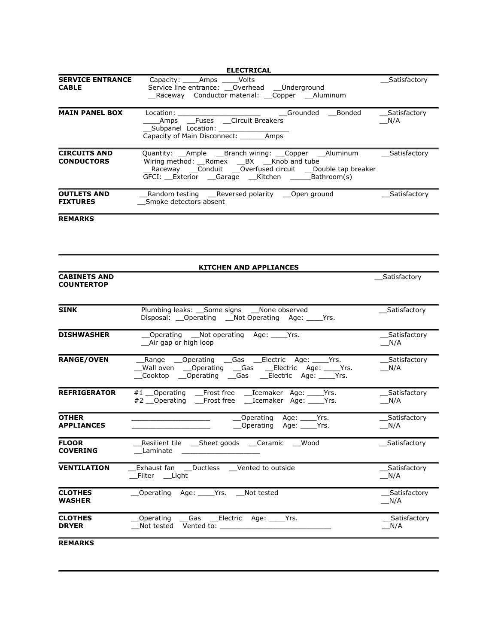|                                          | <b>ELECTRICAL</b>                                                                                                                                                                                                       |                       |
|------------------------------------------|-------------------------------------------------------------------------------------------------------------------------------------------------------------------------------------------------------------------------|-----------------------|
| <b>SERVICE ENTRANCE</b><br><b>CABLE</b>  | Capacity: _____Amps _____Volts<br>Service line entrance: ___ Overhead ___ Underground<br>Raceway Conductor material: __Copper __Aluminum                                                                                | Satisfactory          |
| <b>MAIN PANEL BOX</b>                    | Grounded Bonded<br>_____Amps ___Fuses ___Circuit Breakers<br>Subpanel Location: _____________<br>Capacity of Main Disconnect: ________ Amps                                                                             | __Satisfactory<br>N/A |
| <b>CIRCUITS AND</b><br><b>CONDUCTORS</b> | Quantity: __Ample __Branch wiring: __Copper __Aluminum<br>Wiring method: __Romex ___BX ___Knob and tube<br>__Raceway ___Conduit ___Overfused circuit ___Double tap breaker<br>GFCI: Exterior Garage Kitchen Bathroom(s) | __Satisfactory        |
| <b>OUTLETS AND</b><br><b>FIXTURES</b>    | Random testing ___Reversed polarity ___Open ground<br>Smoke detectors absent                                                                                                                                            | __Satisfactory        |
| <b>REMARKS</b>                           |                                                                                                                                                                                                                         |                       |
| <b>CABINETS AND</b><br><b>COUNTERTOP</b> | <b>KITCHEN AND APPLIANCES</b>                                                                                                                                                                                           | __Satisfactory        |
| SINK                                     | Plumbing leaks: __Some signs __None observed<br>Disposal: __Operating __Not Operating Age: ____Yrs.                                                                                                                     | _Satisfactory         |
| <b>DISHWASHER</b>                        | Operating __Not operating Age: ____Yrs.<br>__Air gap or high loop                                                                                                                                                       | Satisfactory<br>N/A   |
| <b>RANGE/OVEN</b>                        | Range __Operating __Gas __Electric Age: ____Yrs.<br>Wall oven ____Operating ______Gas _______Electric Age: _______Yrs.<br>Cooktop ___Operating ____Gas _____Electric Age: ______Yrs.                                    | Satisfactory<br>N/A   |
| <b>REFRIGERATOR</b>                      | #1 __ Operating ___ Frost free ___ Icemaker Age: _____ Yrs.<br>#2 Operating Frost free Lemaker Age: Yrs.                                                                                                                | _Satisfactory<br>N/A  |
| <b>OTHER</b><br><b>APPLIANCES</b>        | _Operating Age: _____Yrs.<br>_Operating Age: _____Yrs.                                                                                                                                                                  | _Satisfactory<br>N/A  |
| <b>FLOOR</b><br><b>COVERING</b>          | Resilient tile _____Sheet goods _____Ceramic<br>Wood<br>Laminate                                                                                                                                                        | Satisfactory          |
| <b>VENTILATION</b>                       | Exhaust fan ___Ductless ___Vented to outside<br>Filter Light                                                                                                                                                            | Satisfactory<br>N/A   |
| <b>CLOTHES</b><br>WASHER                 | Operating Age: Yrs. Not tested                                                                                                                                                                                          | __Satisfactory<br>N/A |
| <b>CLOTHES</b><br><b>DRYER</b>           | Operating<br>Gas<br>Electric Age: Yrs.<br>Not tested<br>Vented to:                                                                                                                                                      | Satisfactory<br>N/A   |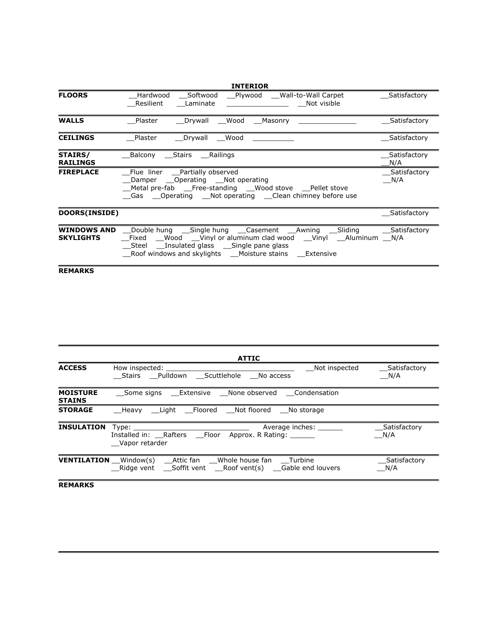|                            | <b>INTERIOR</b>                                                                                                                                                                                                                                 |                     |
|----------------------------|-------------------------------------------------------------------------------------------------------------------------------------------------------------------------------------------------------------------------------------------------|---------------------|
| <b>FLOORS</b>              | Hardwood Softwood Plywood Wall-to-Wall Carpet<br>Resilient<br>Not visible<br>Laminate                                                                                                                                                           | Satisfactory        |
| <b>WALLS</b>               | Wood<br>Plaster<br>Drywall<br>Masonry                                                                                                                                                                                                           | Satisfactory        |
| <b>CEILINGS</b>            | Drywall Wood<br>Plaster                                                                                                                                                                                                                         | Satisfactory        |
| STAIRS/<br><b>RAILINGS</b> | Balcony Stairs Railings                                                                                                                                                                                                                         | Satisfactory<br>N/A |
| <b>FIREPLACE</b>           | Flue liner Partially observed<br>Damper Operating Not operating<br>Metal pre-fab Free-standing Wood stove Pellet stove<br>Gas Operating Not operating Clean chimney before use                                                                  | Satisfactory<br>N/A |
| DOORS(INSIDE)              |                                                                                                                                                                                                                                                 | Satisfactory        |
| <b>SKYLIGHTS</b>           | <b>WINDOWS AND</b> Double hung Single hung Casement Awning Sliding Satisfactory<br>Fixed Wood Vinyl or aluminum clad wood Vinyl Aluminum N/A<br>Steel Insulated glass Single pane glass<br>Roof windows and skylights Moisture stains Extensive |                     |

|                                  | <b>ATTIC</b>                                                                                                            |                                      |
|----------------------------------|-------------------------------------------------------------------------------------------------------------------------|--------------------------------------|
| <b>ACCESS</b>                    | How inspected:<br>Stairs Pulldown Scuttlehole No access                                                                 | Not inspected<br>Satisfactory<br>N/A |
| <b>MOISTURE</b><br><b>STAINS</b> | Some signs  Extensive  None observed  Condensation                                                                      |                                      |
| <b>STORAGE</b>                   | Heavy Light Floored Not-floored No-storage                                                                              |                                      |
| <b>INSULATION</b>                | Average inches:<br>Type:<br>Installed in: Rafters Floor Approx. R Rating:<br>Vapor retarder                             | Satisfactory<br>N/A                  |
|                                  | <b>VENTILATION</b> Window(s) Attic fan Whole house fan Turbine<br>Ridge vent Soffit vent Roof vent(s) Gable end louvers | Satisfactory<br>N/A                  |
|                                  |                                                                                                                         |                                      |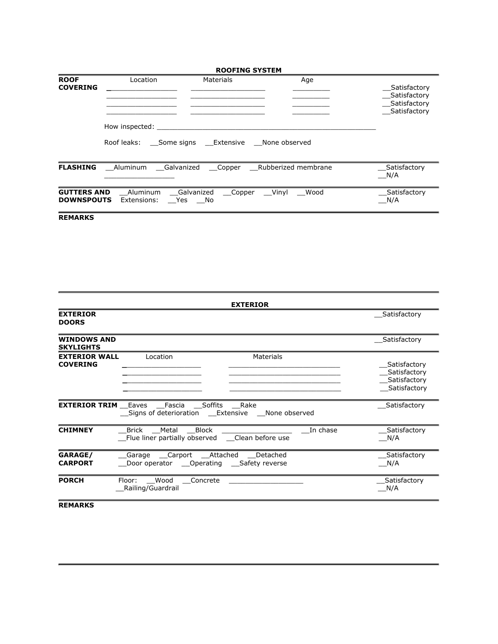|                                         | <b>ROOFING SYSTEM</b>                     |                                                   |               |                                                              |  |  |
|-----------------------------------------|-------------------------------------------|---------------------------------------------------|---------------|--------------------------------------------------------------|--|--|
| <b>ROOF</b><br><b>COVERING</b>          | Location<br>How inspected:<br>Roof leaks: | Materials<br>Some signs  Extensive  None observed | Age           | Satisfactory<br>Satisfactory<br>Satisfactory<br>Satisfactory |  |  |
| <b>FLASHING</b>                         | Aluminum                                  | _Galvanized ___Copper ___Rubberized membrane      |               | Satisfactory<br>N/A                                          |  |  |
| <b>GUTTERS AND</b><br><b>DOWNSPOUTS</b> | Aluminum<br>Extensions:                   | Galvanized<br>Copper<br>Yes No                    | Vinyl<br>Wood | Satisfactory<br>N/A                                          |  |  |

| <b>EXTERIOR</b><br><b>DOORS</b>                                                                            | Satisfactory                                                 |
|------------------------------------------------------------------------------------------------------------|--------------------------------------------------------------|
|                                                                                                            |                                                              |
| <b>WINDOWS AND</b><br><b>SKYLIGHTS</b>                                                                     | Satisfactory                                                 |
| <b>EXTERIOR WALL</b><br>Location<br>Materials<br><b>COVERING</b>                                           | Satisfactory<br>Satisfactory<br>Satisfactory<br>Satisfactory |
| <b>EXTERIOR TRIM</b> Eaves Fascia Soffits<br>Rake<br>Signs of deterioration Extensive None observed        | Satisfactory                                                 |
| <b>CHIMNEY</b><br>Block<br>In chase<br>Metal<br>Brick<br>Flue liner partially observed __Clean before use  | Satisfactory<br>N/A                                          |
| GARAGE/<br>Garage Carport Attached<br>Detached<br><b>CARPORT</b><br>Door operator Operating Safety reverse | Satisfactory<br>N/A                                          |
| <b>PORCH</b><br>Floor:<br>Wood<br>Concrete<br>Railing/Guardrail                                            | Satisfactory<br>N/A                                          |